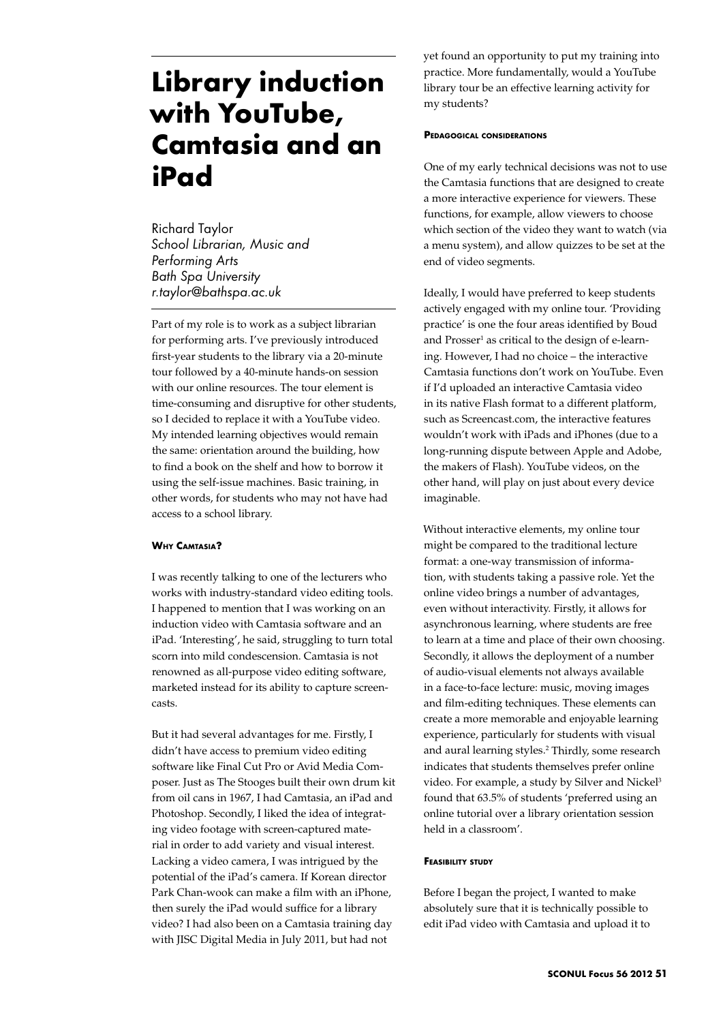# **Library induction with YouTube, Camtasia and an iPad**

Richard Taylor *School Librarian, Music and Performing Arts Bath Spa University r.taylor@bathspa.ac.uk*

Part of my role is to work as a subject librarian for performing arts. I've previously introduced first-year students to the library via a 20-minute tour followed by a 40-minute hands-on session with our online resources. The tour element is time-consuming and disruptive for other students, so I decided to replace it with a YouTube video. My intended learning objectives would remain the same: orientation around the building, how to find a book on the shelf and how to borrow it using the self-issue machines. Basic training, in other words, for students who may not have had access to a school library.

# **Why Camtasia?**

I was recently talking to one of the lecturers who works with industry-standard video editing tools. I happened to mention that I was working on an induction video with Camtasia software and an iPad. 'Interesting', he said, struggling to turn total scorn into mild condescension. Camtasia is not renowned as all-purpose video editing software, marketed instead for its ability to capture screencasts.

But it had several advantages for me. Firstly, I didn't have access to premium video editing software like Final Cut Pro or Avid Media Composer. Just as The Stooges built their own drum kit from oil cans in 1967, I had Camtasia, an iPad and Photoshop. Secondly, I liked the idea of integrating video footage with screen-captured material in order to add variety and visual interest. Lacking a video camera, I was intrigued by the potential of the iPad's camera. If Korean director Park Chan-wook can make a film with an iPhone, then surely the iPad would suffice for a library video? I had also been on a Camtasia training day with JISC Digital Media in July 2011, but had not

yet found an opportunity to put my training into practice. More fundamentally, would a YouTube library tour be an effective learning activity for my students?

## **Pedagogical considerations**

One of my early technical decisions was not to use the Camtasia functions that are designed to create a more interactive experience for viewers. These functions, for example, allow viewers to choose which section of the video they want to watch (via a menu system), and allow quizzes to be set at the end of video segments.

Ideally, I would have preferred to keep students actively engaged with my online tour. 'Providing practice' is one the four areas identified by Boud and Prosser<sup>1</sup> as critical to the design of e-learning. However, I had no choice – the interactive Camtasia functions don't work on YouTube. Even if I'd uploaded an interactive Camtasia video in its native Flash format to a different platform, such as Screencast.com, the interactive features wouldn't work with iPads and iPhones (due to a long-running dispute between Apple and Adobe, the makers of Flash). YouTube videos, on the other hand, will play on just about every device imaginable.

Without interactive elements, my online tour might be compared to the traditional lecture format: a one-way transmission of information, with students taking a passive role. Yet the online video brings a number of advantages, even without interactivity. Firstly, it allows for asynchronous learning, where students are free to learn at a time and place of their own choosing. Secondly, it allows the deployment of a number of audio-visual elements not always available in a face-to-face lecture: music, moving images and film-editing techniques. These elements can create a more memorable and enjoyable learning experience, particularly for students with visual and aural learning styles.2 Thirdly, some research indicates that students themselves prefer online video. For example, a study by Silver and Nickel<sup>3</sup> found that 63.5% of students 'preferred using an online tutorial over a library orientation session held in a classroom'.

## **Feasibility study**

Before I began the project, I wanted to make absolutely sure that it is technically possible to edit iPad video with Camtasia and upload it to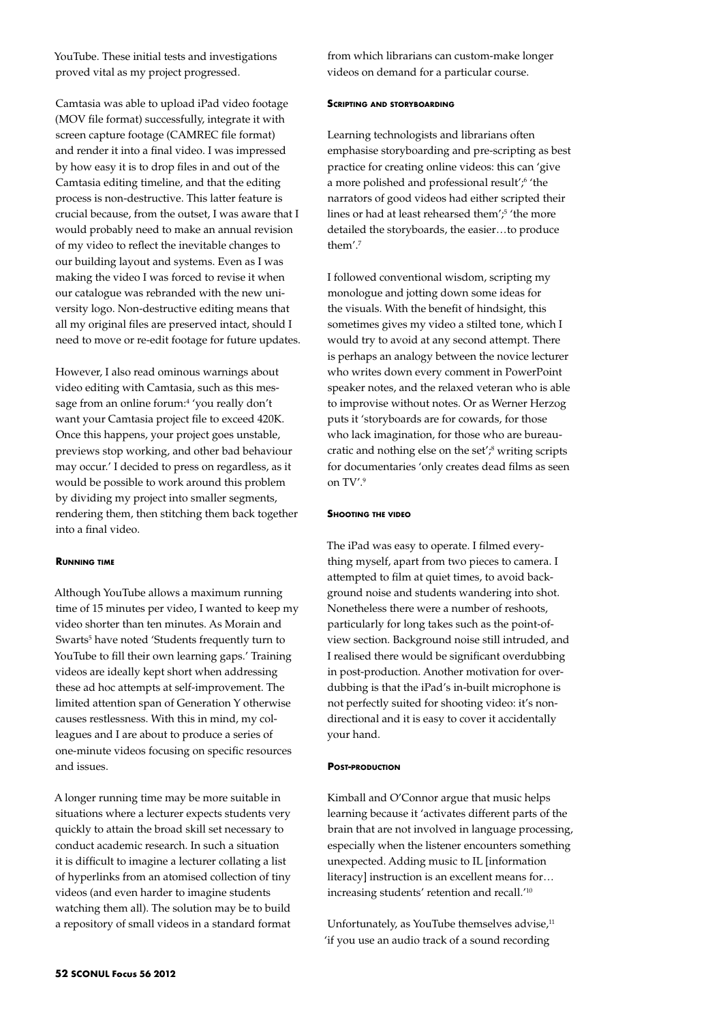YouTube. These initial tests and investigations proved vital as my project progressed.

Camtasia was able to upload iPad video footage (MOV file format) successfully, integrate it with screen capture footage (CAMREC file format) and render it into a final video. I was impressed by how easy it is to drop files in and out of the Camtasia editing timeline, and that the editing process is non-destructive. This latter feature is crucial because, from the outset, I was aware that I would probably need to make an annual revision of my video to reflect the inevitable changes to our building layout and systems. Even as I was making the video I was forced to revise it when our catalogue was rebranded with the new university logo. Non-destructive editing means that all my original files are preserved intact, should I need to move or re-edit footage for future updates.

However, I also read ominous warnings about video editing with Camtasia, such as this message from an online forum:<sup>4</sup> 'you really don't want your Camtasia project file to exceed 420K. Once this happens, your project goes unstable, previews stop working, and other bad behaviour may occur.' I decided to press on regardless, as it would be possible to work around this problem by dividing my project into smaller segments, rendering them, then stitching them back together into a final video.

## **Running time**

Although YouTube allows a maximum running time of 15 minutes per video, I wanted to keep my video shorter than ten minutes. As Morain and Swarts<sup>5</sup> have noted 'Students frequently turn to YouTube to fill their own learning gaps.' Training videos are ideally kept short when addressing these ad hoc attempts at self-improvement. The limited attention span of Generation Y otherwise causes restlessness. With this in mind, my colleagues and I are about to produce a series of one-minute videos focusing on specific resources and issues.

A longer running time may be more suitable in situations where a lecturer expects students very quickly to attain the broad skill set necessary to conduct academic research. In such a situation it is difficult to imagine a lecturer collating a list of hyperlinks from an atomised collection of tiny videos (and even harder to imagine students watching them all). The solution may be to build a repository of small videos in a standard format

from which librarians can custom-make longer videos on demand for a particular course.

## **Scripting and storyboarding**

Learning technologists and librarians often emphasise storyboarding and pre-scripting as best practice for creating online videos: this can 'give a more polished and professional result';<sup>6</sup> 'the narrators of good videos had either scripted their lines or had at least rehearsed them';5 'the more detailed the storyboards, the easier…to produce them<sup>'7</sup>

I followed conventional wisdom, scripting my monologue and jotting down some ideas for the visuals. With the benefit of hindsight, this sometimes gives my video a stilted tone, which I would try to avoid at any second attempt. There is perhaps an analogy between the novice lecturer who writes down every comment in PowerPoint speaker notes, and the relaxed veteran who is able to improvise without notes. Or as Werner Herzog puts it 'storyboards are for cowards, for those who lack imagination, for those who are bureaucratic and nothing else on the set';<sup>8</sup> writing scripts for documentaries 'only creates dead films as seen on TV'.9

#### **Shooting the video**

The iPad was easy to operate. I filmed everything myself, apart from two pieces to camera. I attempted to film at quiet times, to avoid background noise and students wandering into shot. Nonetheless there were a number of reshoots, particularly for long takes such as the point-ofview section. Background noise still intruded, and I realised there would be significant overdubbing in post-production. Another motivation for overdubbing is that the iPad's in-built microphone is not perfectly suited for shooting video: it's nondirectional and it is easy to cover it accidentally your hand.

## **Post-production**

Kimball and O'Connor argue that music helps learning because it 'activates different parts of the brain that are not involved in language processing, especially when the listener encounters something unexpected. Adding music to IL [information literacy] instruction is an excellent means for… increasing students' retention and recall.'10

Unfortunately, as YouTube themselves advise,<sup>11</sup> 'if you use an audio track of a sound recording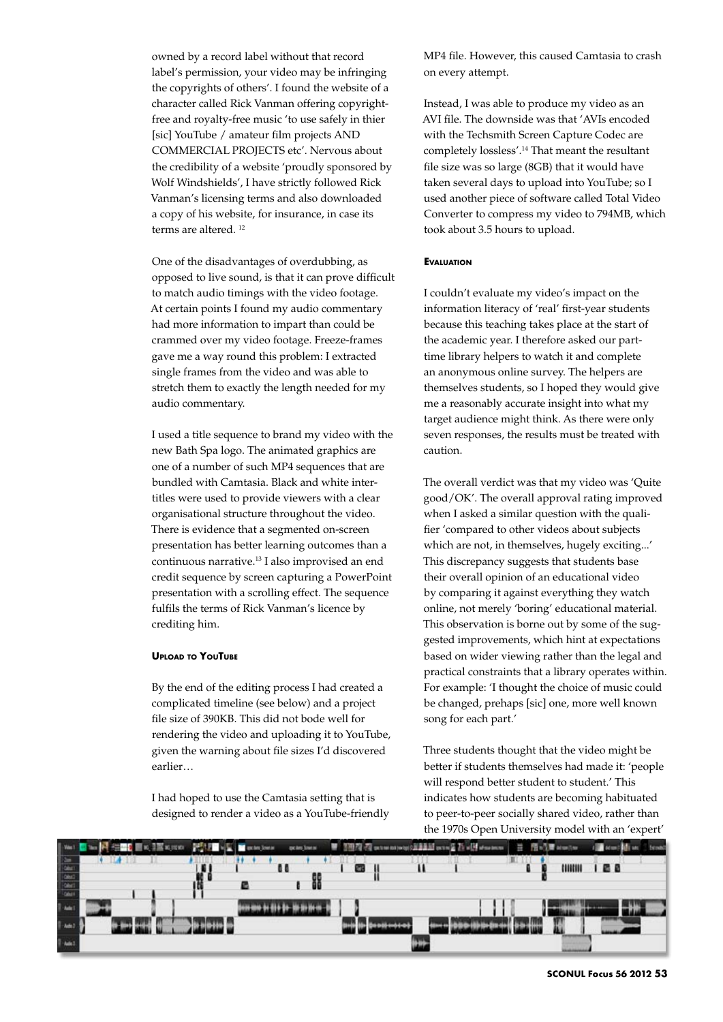owned by a record label without that record label's permission, your video may be infringing the copyrights of others'. I found the website of a character called Rick Vanman offering copyrightfree and royalty-free music 'to use safely in thier [sic] YouTube / amateur film projects AND COMMERCIAL PROJECTS etc'. Nervous about the credibility of a website 'proudly sponsored by Wolf Windshields', I have strictly followed Rick Vanman's licensing terms and also downloaded a copy of his website, for insurance, in case its terms are altered.<sup>12</sup>

One of the disadvantages of overdubbing, as opposed to live sound, is that it can prove difficult to match audio timings with the video footage. At certain points I found my audio commentary had more information to impart than could be crammed over my video footage. Freeze-frames gave me a way round this problem: I extracted single frames from the video and was able to stretch them to exactly the length needed for my audio commentary.

I used a title sequence to brand my video with the new Bath Spa logo. The animated graphics are one of a number of such MP4 sequences that are bundled with Camtasia. Black and white intertitles were used to provide viewers with a clear organisational structure throughout the video. There is evidence that a segmented on-screen presentation has better learning outcomes than a continuous narrative.13 I also improvised an end credit sequence by screen capturing a PowerPoint presentation with a scrolling effect. The sequence fulfils the terms of Rick Vanman's licence by crediting him.

# **Upload to YouTube**

By the end of the editing process I had created a complicated timeline (see below) and a project file size of 390KB. This did not bode well for rendering the video and uploading it to YouTube, given the warning about file sizes I'd discovered earlier…

I had hoped to use the Camtasia setting that is designed to render a video as a YouTube-friendly MP4 file. However, this caused Camtasia to crash on every attempt.

Instead, I was able to produce my video as an AVI file. The downside was that 'AVIs encoded with the Techsmith Screen Capture Codec are completely lossless'.14 That meant the resultant file size was so large (8GB) that it would have taken several days to upload into YouTube; so I used another piece of software called Total Video Converter to compress my video to 794MB, which took about 3.5 hours to upload.

# **Evaluation**

I couldn't evaluate my video's impact on the information literacy of 'real' first-year students because this teaching takes place at the start of the academic year. I therefore asked our parttime library helpers to watch it and complete an anonymous online survey. The helpers are themselves students, so I hoped they would give me a reasonably accurate insight into what my target audience might think. As there were only seven responses, the results must be treated with caution.

The overall verdict was that my video was 'Quite good/OK'. The overall approval rating improved when I asked a similar question with the qualifier 'compared to other videos about subjects which are not, in themselves, hugely exciting...' This discrepancy suggests that students base their overall opinion of an educational video by comparing it against everything they watch online, not merely 'boring' educational material. This observation is borne out by some of the suggested improvements, which hint at expectations based on wider viewing rather than the legal and practical constraints that a library operates within. For example: 'I thought the choice of music could be changed, prehaps [sic] one, more well known song for each part.'

Three students thought that the video might be better if students themselves had made it: 'people will respond better student to student.' This indicates how students are becoming habituated to peer-to-peer socially shared video, rather than the 1970s Open University model with an 'expert'

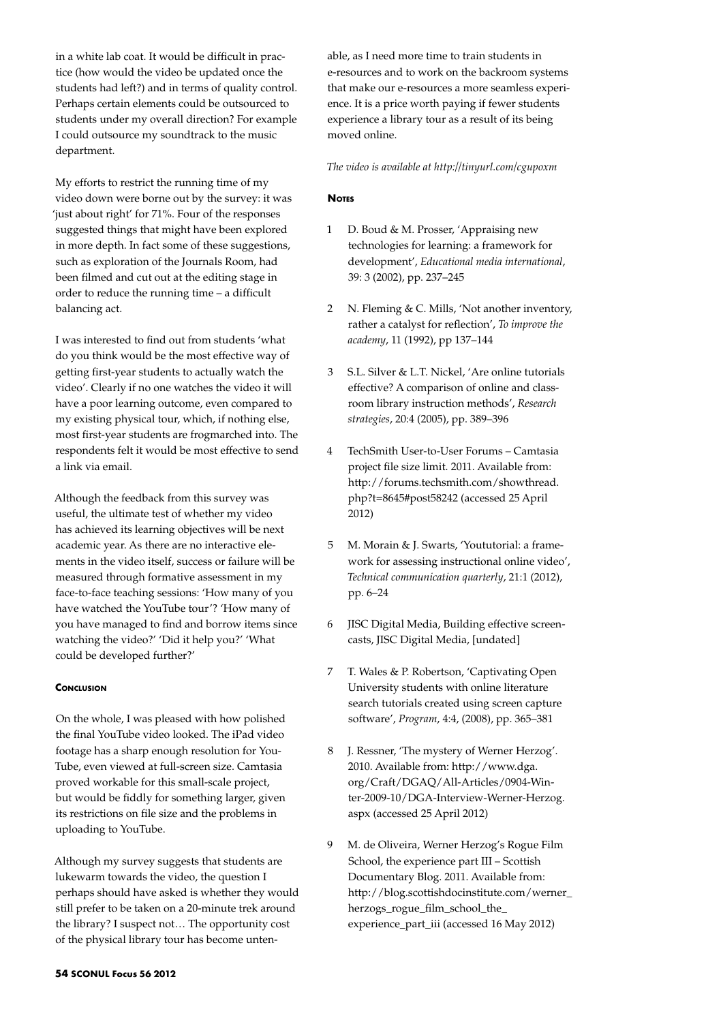in a white lab coat. It would be difficult in practice (how would the video be updated once the students had left?) and in terms of quality control. Perhaps certain elements could be outsourced to students under my overall direction? For example I could outsource my soundtrack to the music department.

My efforts to restrict the running time of my video down were borne out by the survey: it was 'just about right' for 71%. Four of the responses suggested things that might have been explored in more depth. In fact some of these suggestions, such as exploration of the Journals Room, had been filmed and cut out at the editing stage in order to reduce the running time – a difficult balancing act.

I was interested to find out from students 'what do you think would be the most effective way of getting first-year students to actually watch the video'. Clearly if no one watches the video it will have a poor learning outcome, even compared to my existing physical tour, which, if nothing else, most first-year students are frogmarched into. The respondents felt it would be most effective to send a link via email.

Although the feedback from this survey was useful, the ultimate test of whether my video has achieved its learning objectives will be next academic year. As there are no interactive elements in the video itself, success or failure will be measured through formative assessment in my face-to-face teaching sessions: 'How many of you have watched the YouTube tour'? 'How many of you have managed to find and borrow items since watching the video?' 'Did it help you?' 'What could be developed further?'

# **CONCLUSION**

On the whole, I was pleased with how polished the final YouTube video looked. The iPad video footage has a sharp enough resolution for You-Tube, even viewed at full-screen size. Camtasia proved workable for this small-scale project, but would be fiddly for something larger, given its restrictions on file size and the problems in uploading to YouTube.

Although my survey suggests that students are lukewarm towards the video, the question I perhaps should have asked is whether they would still prefer to be taken on a 20-minute trek around the library? I suspect not… The opportunity cost of the physical library tour has become untenable, as I need more time to train students in e-resources and to work on the backroom systems that make our e-resources a more seamless experience. It is a price worth paying if fewer students experience a library tour as a result of its being moved online.

*The video is available at http://tinyurl.com/cgupoxm*

# **Notes**

- 1 D. Boud & M. Prosser, 'Appraising new technologies for learning: a framework for development', *Educational media international*, 39: 3 (2002), pp. 237–245
- 2 N. Fleming & C. Mills, 'Not another inventory, rather a catalyst for reflection', *To improve the academy*, 11 (1992), pp 137–144
- 3 S.L. Silver & L.T. Nickel, 'Are online tutorials effective? A comparison of online and classroom library instruction methods', *Research strategies*, 20:4 (2005), pp. 389–396
- 4 TechSmith User-to-User Forums Camtasia project file size limit. 2011. Available from: http://forums.techsmith.com/showthread. php?t=8645#post58242 (accessed 25 April 2012)
- 5 M. Morain & J. Swarts, 'Yoututorial: a framework for assessing instructional online video', *Technical communication quarterly*, 21:1 (2012), pp. 6–24
- 6 JISC Digital Media, Building effective screencasts, JISC Digital Media, [undated]
- 7 T. Wales & P. Robertson, 'Captivating Open University students with online literature search tutorials created using screen capture software', *Program*, 4:4, (2008), pp. 365–381
- 8 J. Ressner, 'The mystery of Werner Herzog'. 2010. Available from: http://www.dga. org/Craft/DGAQ/All-Articles/0904-Winter-2009-10/DGA-Interview-Werner-Herzog. aspx (accessed 25 April 2012)
- 9 M. de Oliveira, Werner Herzog's Rogue Film School, the experience part III – Scottish Documentary Blog. 2011. Available from: http://blog.scottishdocinstitute.com/werner\_ herzogs\_rogue\_film\_school\_the\_ experience\_part\_iii (accessed 16 May 2012)